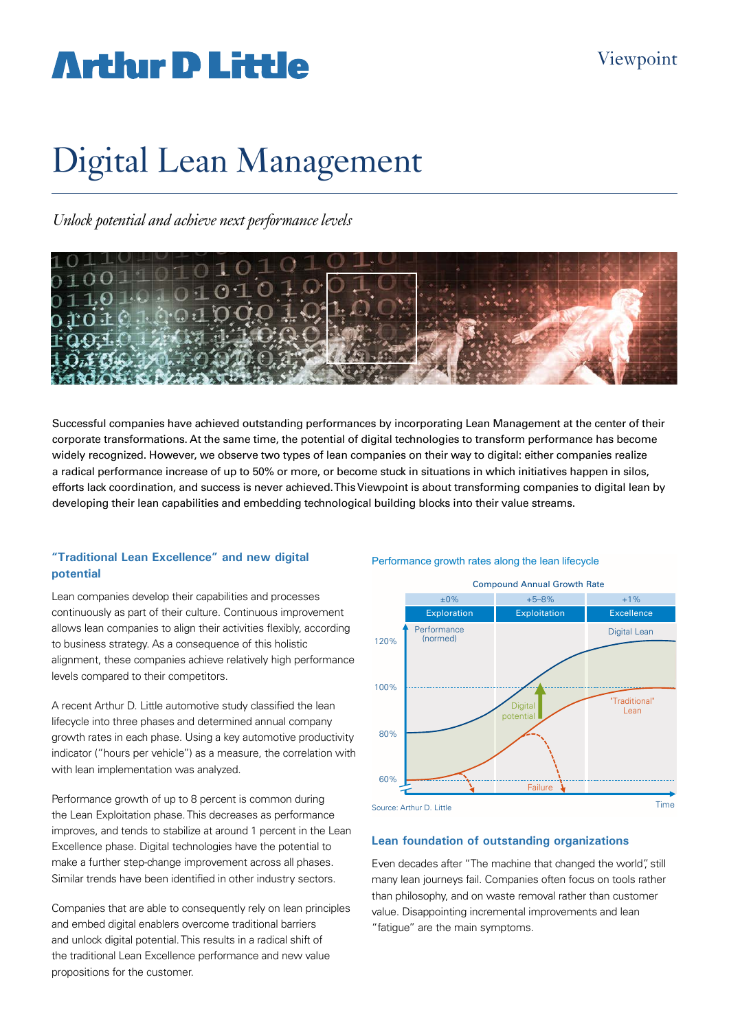# **Arthir D Little**

# Digital Lean Management

*Unlock potential and achieve next performance levels*



Successful companies have achieved outstanding performances by incorporating Lean Management at the center of their corporate transformations. At the same time, the potential of digital technologies to transform performance has become widely recognized. However, we observe two types of lean companies on their way to digital: either companies realize a radical performance increase of up to 50% or more, or become stuck in situations in which initiatives happen in silos, efforts lack coordination, and success is never achieved. This Viewpoint is about transforming companies to digital lean by developing their lean capabilities and embedding technological building blocks into their value streams.

#### **"Traditional Lean Excellence" and new digital potential**

Lean companies develop their capabilities and processes continuously as part of their culture. Continuous improvement allows lean companies to align their activities flexibly, according to business strategy. As a consequence of this holistic alignment, these companies achieve relatively high performance levels compared to their competitors.

A recent Arthur D. Little automotive study classified the lean lifecycle into three phases and determined annual company growth rates in each phase. Using a key automotive productivity indicator ("hours per vehicle") as a measure, the correlation with with lean implementation was analyzed.

Performance growth of up to 8 percent is common during the Lean Exploitation phase. This decreases as performance improves, and tends to stabilize at around 1 percent in the Lean Excellence phase. Digital technologies have the potential to make a further step-change improvement across all phases. Similar trends have been identified in other industry sectors.

Companies that are able to consequently rely on lean principles and embed digital enablers overcome traditional barriers and unlock digital potential. This results in a radical shift of the traditional Lean Excellence performance and new value propositions for the customer.

#### Performance growth rates along the lean lifecycle



#### **Lean foundation of outstanding organizations**

Even decades after "The machine that changed the world", still many lean journeys fail. Companies often focus on tools rather than philosophy, and on waste removal rather than customer value. Disappointing incremental improvements and lean "fatigue" are the main symptoms.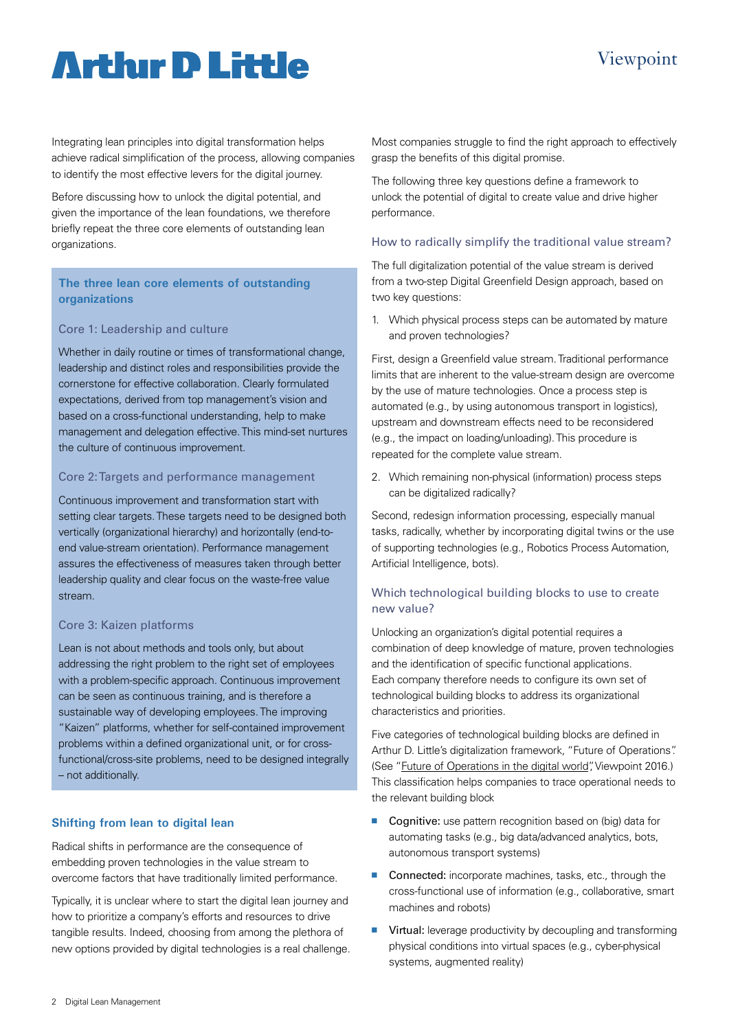## Viewpoint

# **Arthur D Little**

Integrating lean principles into digital transformation helps achieve radical simplification of the process, allowing companies to identify the most effective levers for the digital journey.

Before discussing how to unlock the digital potential, and given the importance of the lean foundations, we therefore briefly repeat the three core elements of outstanding lean organizations.

### **The three lean core elements of outstanding organizations**

#### Core 1: Leadership and culture

Whether in daily routine or times of transformational change, leadership and distinct roles and responsibilities provide the cornerstone for effective collaboration. Clearly formulated expectations, derived from top management's vision and based on a cross-functional understanding, help to make management and delegation effective. This mind-set nurtures the culture of continuous improvement.

#### Core 2: Targets and performance management

Continuous improvement and transformation start with setting clear targets. These targets need to be designed both vertically (organizational hierarchy) and horizontally (end-toend value-stream orientation). Performance management assures the effectiveness of measures taken through better leadership quality and clear focus on the waste-free value stream.

#### Core 3: Kaizen platforms

Lean is not about methods and tools only, but about addressing the right problem to the right set of employees with a problem-specific approach. Continuous improvement can be seen as continuous training, and is therefore a sustainable way of developing employees. The improving "Kaizen" platforms, whether for self-contained improvement problems within a defined organizational unit, or for crossfunctional/cross-site problems, need to be designed integrally – not additionally.

#### **Shifting from lean to digital lean**

Radical shifts in performance are the consequence of embedding proven technologies in the value stream to overcome factors that have traditionally limited performance.

Typically, it is unclear where to start the digital lean journey and how to prioritize a company's efforts and resources to drive tangible results. Indeed, choosing from among the plethora of new options provided by digital technologies is a real challenge. Most companies struggle to find the right approach to effectively grasp the benefits of this digital promise.

The following three key questions define a framework to unlock the potential of digital to create value and drive higher performance.

#### How to radically simplify the traditional value stream?

The full digitalization potential of the value stream is derived from a two-step Digital Greenfield Design approach, based on two key questions:

1. Which physical process steps can be automated by mature and proven technologies?

First, design a Greenfield value stream. Traditional performance limits that are inherent to the value-stream design are overcome by the use of mature technologies. Once a process step is automated (e.g., by using autonomous transport in logistics), upstream and downstream effects need to be reconsidered (e.g., the impact on loading/unloading). This procedure is repeated for the complete value stream.

2. Which remaining non-physical (information) process steps can be digitalized radically?

Second, redesign information processing, especially manual tasks, radically, whether by incorporating digital twins or the use of supporting technologies (e.g., Robotics Process Automation, Artificial Intelligence, bots).

### Which technological building blocks to use to create new value?

Unlocking an organization's digital potential requires a combination of deep knowledge of mature, proven technologies and the identification of specific functional applications. Each company therefore needs to configure its own set of technological building blocks to address its organizational characteristics and priorities.

Five categories of technological building blocks are defined in Arthur D. Little's digitalization framework, "Future of Operations". (See ["Future of Operations in the digital world",](http://www.adlittle.com/operations-viewpoints.html?&view=747
) Viewpoint 2016.) This classification helps companies to trace operational needs to the relevant building block

- Cognitive: use pattern recognition based on (big) data for automating tasks (e.g., big data/advanced analytics, bots, autonomous transport systems)
- Connected: incorporate machines, tasks, etc., through the cross-functional use of information (e.g., collaborative, smart machines and robots)
- Virtual: leverage productivity by decoupling and transforming physical conditions into virtual spaces (e.g., cyber-physical systems, augmented reality)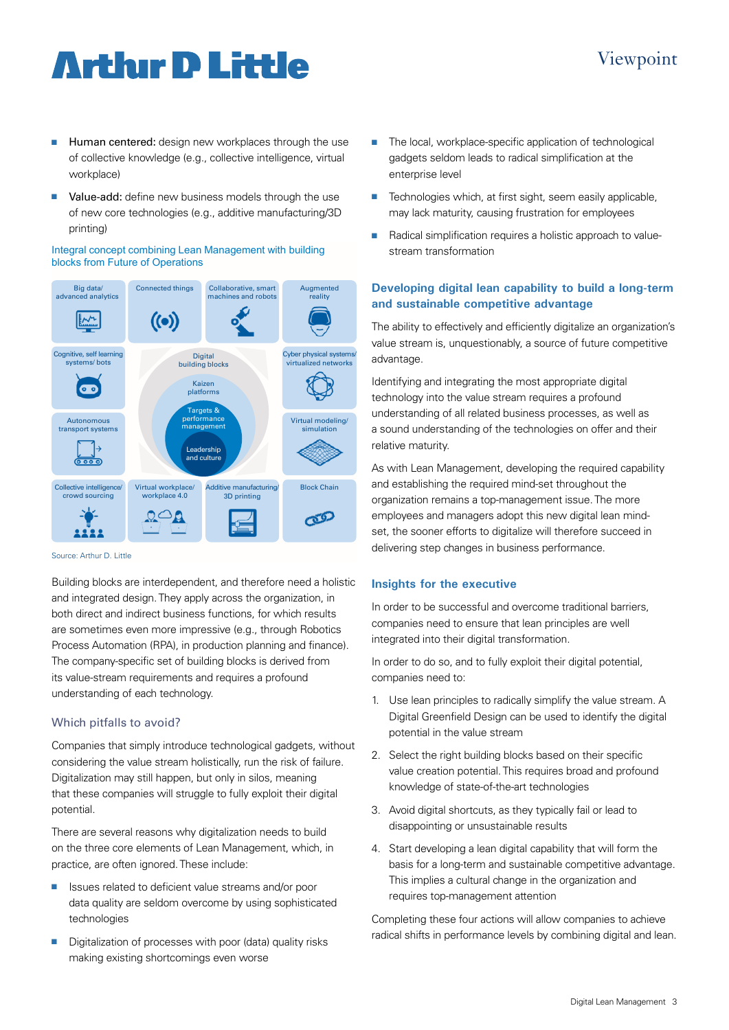# **Arthur D Little**

## $\blacksquare$  Human centered: design new workplaces through the use of collective knowledge (e.g., collective intelligence, virtual workplace)

■ Value-add: define new business models through the use of new core technologies (e.g., additive manufacturing/3D printing)

#### Integral concept combining Lean Management with building blocks from Future of Operations Big data/ Augmented Connected things Collaborative, smart



Source: Arthur D. Little

Building blocks are interdependent, and therefore need a holistic and integrated design. They apply across the organization, in both direct and indirect business functions, for which results are sometimes even more impressive (e.g., through Robotics Process Automation (RPA), in production planning and finance). The company-specific set of building blocks is derived from its value-stream requirements and requires a profound understanding of each technology.

### Which pitfalls to avoid?

Companies that simply introduce technological gadgets, without considering the value stream holistically, run the risk of failure. Digitalization may still happen, but only in silos, meaning that these companies will struggle to fully exploit their digital potential.

There are several reasons why digitalization needs to build on the three core elements of Lean Management, which, in practice, are often ignored. These include:

- Issues related to deficient value streams and/or poor data quality are seldom overcome by using sophisticated technologies
- Digitalization of processes with poor (data) quality risks making existing shortcomings even worse
- $\blacksquare$  The local, workplace-specific application of technological gadgets seldom leads to radical simplification at the enterprise level
- Technologies which, at first sight, seem easily applicable, may lack maturity, causing frustration for employees
- Radical simplification requires a holistic approach to valuestream transformation

### **Developing digital lean capability to build a long-term and sustainable competitive advantage**

The ability to effectively and efficiently digitalize an organization's value stream is, unquestionably, a source of future competitive advantage.

Identifying and integrating the most appropriate digital technology into the value stream requires a profound understanding of all related business processes, as well as a sound understanding of the technologies on offer and their relative maturity.

As with Lean Management, developing the required capability and establishing the required mind-set throughout the organization remains a top-management issue. The more employees and managers adopt this new digital lean mindset, the sooner efforts to digitalize will therefore succeed in delivering step changes in business performance.

### **Insights for the executive**

In order to be successful and overcome traditional barriers, companies need to ensure that lean principles are well integrated into their digital transformation.

In order to do so, and to fully exploit their digital potential, companies need to:

- 1. Use lean principles to radically simplify the value stream. A Digital Greenfield Design can be used to identify the digital potential in the value stream
- 2. Select the right building blocks based on their specific value creation potential. This requires broad and profound knowledge of state-of-the-art technologies
- 3. Avoid digital shortcuts, as they typically fail or lead to disappointing or unsustainable results
- 4. Start developing a lean digital capability that will form the basis for a long-term and sustainable competitive advantage. This implies a cultural change in the organization and requires top-management attention

Completing these four actions will allow companies to achieve radical shifts in performance levels by combining digital and lean.

## Viewpoint